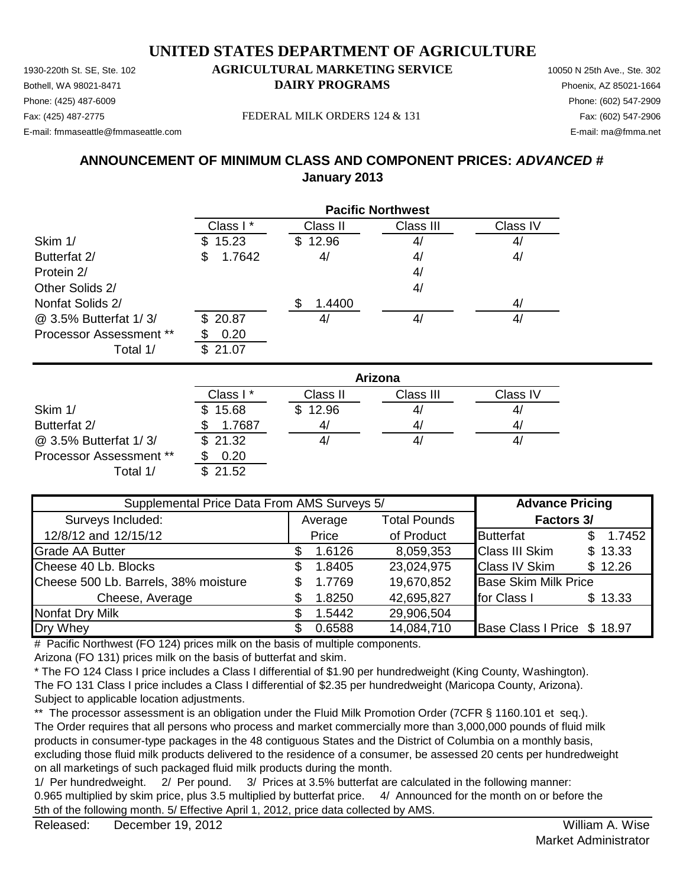#### 1930-220th St. SE, Ste. 102 **AGRICULTURAL MARKETING SERVICE** 10050 N 25th Ave., Ste. 302 **UNITED STATES DEPARTMENT OF AGRICULTURE**

Bothell, WA 98021-8471 **DAIRY PROGRAMS** Phoenix, AZ 85021-1664 Fax: (425) 487-2775 Fax: (602) 547-2906 FEDERAL MILK ORDERS 124 & 131

### Phone: (425) 487-6009 Phone: (602) 547-2909

E-mail: fmmaseattle@fmmaseattle.com E-mail: ma@fmma.net

### **ANNOUNCEMENT OF MINIMUM CLASS AND COMPONENT PRICES:** *ADVANCED #* **January 2013**

|                                | <b>Pacific Northwest</b> |          |           |          |  |  |
|--------------------------------|--------------------------|----------|-----------|----------|--|--|
|                                | Class I*                 | Class II | Class III | Class IV |  |  |
| Skim 1/                        | 15.23<br>SS.             | \$12.96  | 4/        | 4/       |  |  |
| Butterfat 2/                   | 1.7642<br>S              | 4/       | 4/        | 4/       |  |  |
| Protein 2/                     |                          |          | 4/        |          |  |  |
| Other Solids 2/                |                          |          | 4/        |          |  |  |
| Nonfat Solids 2/               |                          | 1.4400   |           | 4/       |  |  |
| @ 3.5% Butterfat 1/3/          | \$20.87                  | 4/       | 4/        | 4/       |  |  |
| <b>Processor Assessment **</b> | 0.20                     |          |           |          |  |  |
| Total 1/                       | 21.07                    |          |           |          |  |  |

|                                | Arizona              |          |           |          |  |  |
|--------------------------------|----------------------|----------|-----------|----------|--|--|
|                                | Class I <sup>*</sup> | Class II | Class III | Class IV |  |  |
| Skim 1/                        | \$15.68              | \$12.96  | 4/        | 4        |  |  |
| Butterfat 2/                   | 1.7687               | 41       | 4/        | 4/       |  |  |
| @ 3.5% Butterfat 1/3/          | \$21.32              |          | 41        | 4,       |  |  |
| <b>Processor Assessment **</b> | 0.20                 |          |           |          |  |  |
| Total 1/                       | \$21.52              |          |           |          |  |  |

| Supplemental Price Data From AMS Surveys 5/ |   |         |                     | <b>Advance Pricing</b>      |               |
|---------------------------------------------|---|---------|---------------------|-----------------------------|---------------|
| Surveys Included:                           |   | Average | <b>Total Pounds</b> | Factors 3/                  |               |
| 12/8/12 and 12/15/12                        |   | Price   | of Product          | <b>Butterfat</b>            | 1.7452<br>\$. |
| <b>Grade AA Butter</b>                      |   | 1.6126  | 8,059,353           | <b>Class III Skim</b>       | \$13.33       |
| Cheese 40 Lb. Blocks                        | S | 1.8405  | 23,024,975          | <b>Class IV Skim</b>        | \$12.26       |
| Cheese 500 Lb. Barrels, 38% moisture        |   | 1.7769  | 19,670,852          | <b>Base Skim Milk Price</b> |               |
| Cheese, Average                             |   | 1.8250  | 42,695,827          | for Class I                 | \$13.33       |
| Nonfat Dry Milk                             |   | 1.5442  | 29,906,504          |                             |               |
| Dry Whey                                    |   | 0.6588  | 14,084,710          | Base Class I Price \$ 18.97 |               |

# Pacific Northwest (FO 124) prices milk on the basis of multiple components.

Arizona (FO 131) prices milk on the basis of butterfat and skim.

\* The FO 124 Class I price includes a Class I differential of \$1.90 per hundredweight (King County, Washington). The FO 131 Class I price includes a Class I differential of \$2.35 per hundredweight (Maricopa County, Arizona). Subject to applicable location adjustments.

\*\* The processor assessment is an obligation under the Fluid Milk Promotion Order (7CFR § 1160.101 et seq.). The Order requires that all persons who process and market commercially more than 3,000,000 pounds of fluid milk products in consumer-type packages in the 48 contiguous States and the District of Columbia on a monthly basis, excluding those fluid milk products delivered to the residence of a consumer, be assessed 20 cents per hundredweight on all marketings of such packaged fluid milk products during the month.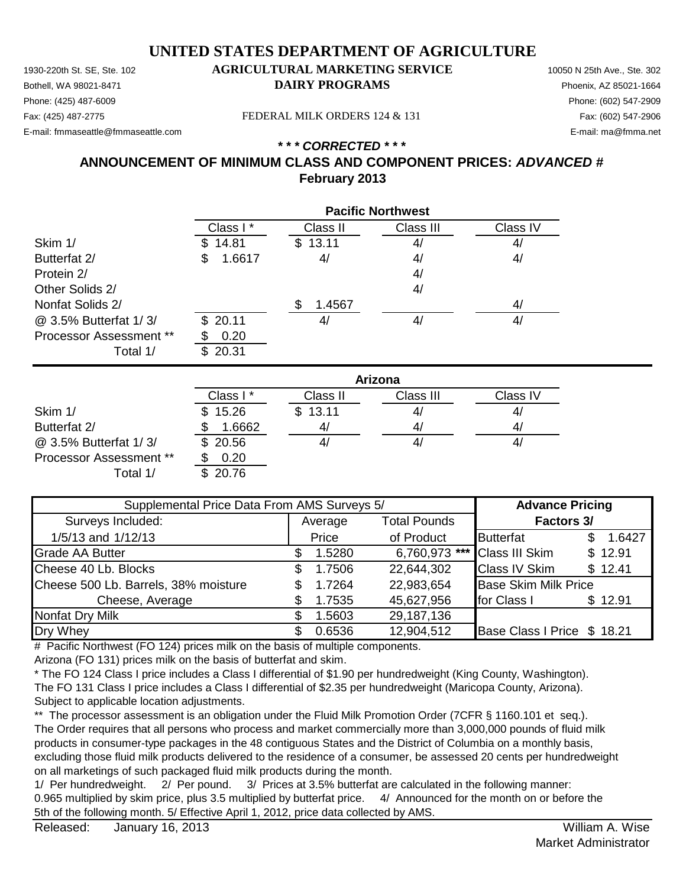Phone: (425) 487-6009 Phone: (602) 547-2909 E-mail: fmmaseattle@fmmaseattle.com E-mail: ma@fmma.net

#### 1930-220th St. SE, Ste. 102 **AGRICULTURAL MARKETING SERVICE** 10050 N 25th Ave., Ste. 302 Bothell, WA 98021-8471 **DAIRY PROGRAMS** Phoenix, AZ 85021-1664

Fax: (425) 487-2775 Fax: (602) 547-2906 FEDERAL MILK ORDERS 124 & 131

#### *\* \* \* CORRECTED \* \* \** **ANNOUNCEMENT OF MINIMUM CLASS AND COMPONENT PRICES:** *ADVANCED #* **February 2013**

|                                | <b>Pacific Northwest</b> |          |           |          |  |
|--------------------------------|--------------------------|----------|-----------|----------|--|
|                                | Class I*                 | Class II | Class III | Class IV |  |
| Skim 1/                        | 14.81<br>\$.             | \$13.11  | 4/        | 4/       |  |
| Butterfat 2/                   | 1.6617<br>S              | 4/       | 4/        | 4/       |  |
| Protein 2/                     |                          |          | 4/        |          |  |
| Other Solids 2/                |                          |          | 4/        |          |  |
| Nonfat Solids 2/               |                          | 1.4567   |           | 4/       |  |
| @ 3.5% Butterfat 1/3/          | \$20.11                  | 4,       | 4/        | 4/       |  |
| <b>Processor Assessment **</b> | 0.20                     |          |           |          |  |
| Total 1/                       | 20.31<br>\$.             |          |           |          |  |

|                                | Arizona  |          |           |          |  |
|--------------------------------|----------|----------|-----------|----------|--|
|                                | Class I* | Class II | Class III | Class IV |  |
| Skim 1/                        | \$15.26  | \$13.11  | 41        | 4/       |  |
| Butterfat 2/                   | 1.6662   | 4/       | 4/        | 4/       |  |
| @ 3.5% Butterfat 1/3/          | \$20.56  | 41       | 4,        | 41       |  |
| <b>Processor Assessment **</b> | 0.20     |          |           |          |  |
| Total 1/                       | 20.76    |          |           |          |  |

| Supplemental Price Data From AMS Surveys 5/ |    |         |                     | <b>Advance Pricing</b>       |               |
|---------------------------------------------|----|---------|---------------------|------------------------------|---------------|
| Surveys Included:                           |    | Average | <b>Total Pounds</b> | Factors 3/                   |               |
| 1/5/13 and 1/12/13                          |    | Price   | of Product          | <b>Butterfat</b>             | 1.6427<br>\$. |
| <b>Grade AA Butter</b>                      |    | 1.5280  |                     | 6,760,973 *** Class III Skim | \$12.91       |
| Cheese 40 Lb. Blocks                        | SS | 1.7506  | 22,644,302          | <b>Class IV Skim</b>         | \$12.41       |
| Cheese 500 Lb. Barrels, 38% moisture        |    | 1.7264  | 22,983,654          | <b>Base Skim Milk Price</b>  |               |
| Cheese, Average                             |    | 1.7535  | 45,627,956          | for Class I                  | \$12.91       |
| Nonfat Dry Milk                             |    | 1.5603  | 29,187,136          |                              |               |
| Dry Whey                                    |    | 0.6536  | 12,904,512          | Base Class I Price \$ 18.21  |               |

# Pacific Northwest (FO 124) prices milk on the basis of multiple components.

Arizona (FO 131) prices milk on the basis of butterfat and skim.

\* The FO 124 Class I price includes a Class I differential of \$1.90 per hundredweight (King County, Washington). The FO 131 Class I price includes a Class I differential of \$2.35 per hundredweight (Maricopa County, Arizona). Subject to applicable location adjustments.

\*\* The processor assessment is an obligation under the Fluid Milk Promotion Order (7CFR § 1160.101 et seq.). The Order requires that all persons who process and market commercially more than 3,000,000 pounds of fluid milk products in consumer-type packages in the 48 contiguous States and the District of Columbia on a monthly basis, excluding those fluid milk products delivered to the residence of a consumer, be assessed 20 cents per hundredweight on all marketings of such packaged fluid milk products during the month.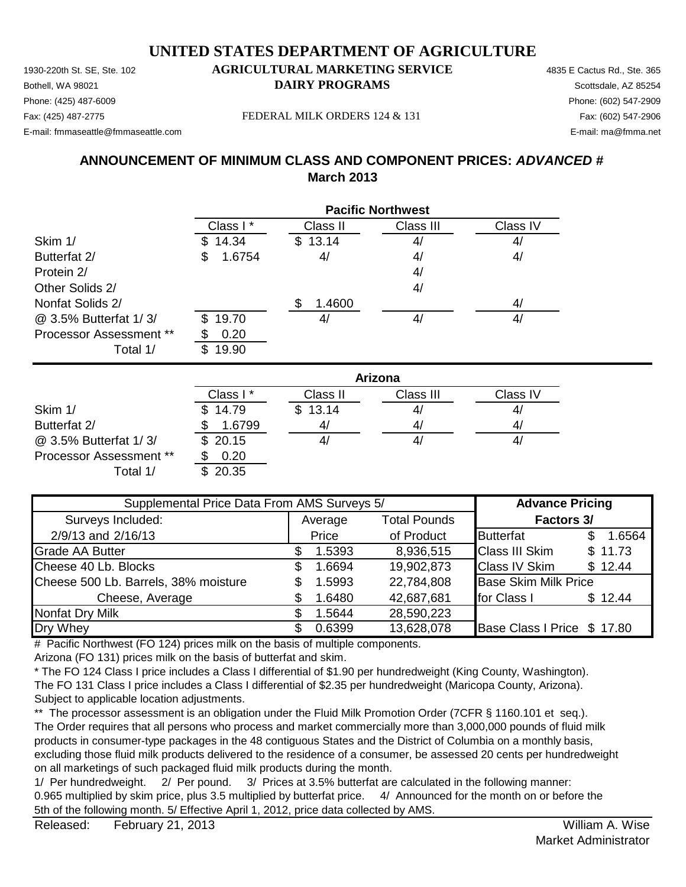1930-220th St. SE, Ste. 102 **AGRICULTURAL MARKETING SERVICE** 4835 E Cactus Rd., Ste. 365 **Bothell, WA 98021 DAIRY PROGRAMS** Scottsdale, AZ 85254 E-mail: fmmaseattle@fmmaseattle.com E-mail: ma@fmma.net

# Phone: (425) 487-6009 Phone: (602) 547-2909

Fax: (425) 487-2775 Fax: (602) 547-2906 FEDERAL MILK ORDERS 124 & 131

### **ANNOUNCEMENT OF MINIMUM CLASS AND COMPONENT PRICES:** *ADVANCED #* **March 2013**

|                                            | <b>Pacific Northwest</b> |          |           |          |  |
|--------------------------------------------|--------------------------|----------|-----------|----------|--|
|                                            | Class I*                 | Class II | Class III | Class IV |  |
| Skim 1/                                    | 14.34<br>S.              | \$13.14  | 4/        | 4/       |  |
| Butterfat 2/                               | 1.6754<br>S              | 4/       | 4/        | 4/       |  |
| Protein 2/                                 |                          |          | 4/        |          |  |
| Other Solids 2/                            |                          |          | 4/        |          |  |
| Nonfat Solids 2/                           |                          | 1.4600   |           | 4/       |  |
| @ 3.5% Butterfat 1/3/                      | 19.70<br>\$.             | 4/       | 4/        | 4/       |  |
| <b>Processor Assessment **</b><br>Total 1/ | 0.20<br>19.90<br>\$.     |          |           |          |  |

|                                | Arizona  |          |           |          |  |
|--------------------------------|----------|----------|-----------|----------|--|
|                                | Class I* | Class II | Class III | Class IV |  |
| Skim 1/                        | \$14.79  | \$13.14  | 41        | 41       |  |
| Butterfat 2/                   | 1.6799   | 41       | 41        | 4/       |  |
| @ 3.5% Butterfat 1/3/          | \$20.15  |          | 4/        | 41       |  |
| <b>Processor Assessment **</b> | 0.20     |          |           |          |  |
| Total 1/                       | 20.35    |          |           |          |  |

| Supplemental Price Data From AMS Surveys 5/ |   |         |                     | <b>Advance Pricing</b>      |         |
|---------------------------------------------|---|---------|---------------------|-----------------------------|---------|
| Surveys Included:                           |   | Average | <b>Total Pounds</b> | Factors 3/                  |         |
| 2/9/13 and 2/16/13                          |   | Price   | of Product          | <b>Butterfat</b>            | 1.6564  |
| <b>Grade AA Butter</b>                      |   | 1.5393  | 8,936,515           | <b>Class III Skim</b>       | \$11.73 |
| Cheese 40 Lb. Blocks                        | S | 1.6694  | 19,902,873          | <b>Class IV Skim</b>        | \$12.44 |
| Cheese 500 Lb. Barrels, 38% moisture        |   | 1.5993  | 22,784,808          | <b>Base Skim Milk Price</b> |         |
| Cheese, Average                             |   | 1.6480  | 42,687,681          | for Class I                 | \$12.44 |
| Nonfat Dry Milk                             |   | 1.5644  | 28,590,223          |                             |         |
| Dry Whey                                    |   | 0.6399  | 13,628,078          | Base Class I Price \$17.80  |         |

# Pacific Northwest (FO 124) prices milk on the basis of multiple components.

Arizona (FO 131) prices milk on the basis of butterfat and skim.

\* The FO 124 Class I price includes a Class I differential of \$1.90 per hundredweight (King County, Washington). The FO 131 Class I price includes a Class I differential of \$2.35 per hundredweight (Maricopa County, Arizona). Subject to applicable location adjustments.

\*\* The processor assessment is an obligation under the Fluid Milk Promotion Order (7CFR § 1160.101 et seq.). The Order requires that all persons who process and market commercially more than 3,000,000 pounds of fluid milk products in consumer-type packages in the 48 contiguous States and the District of Columbia on a monthly basis, excluding those fluid milk products delivered to the residence of a consumer, be assessed 20 cents per hundredweight on all marketings of such packaged fluid milk products during the month.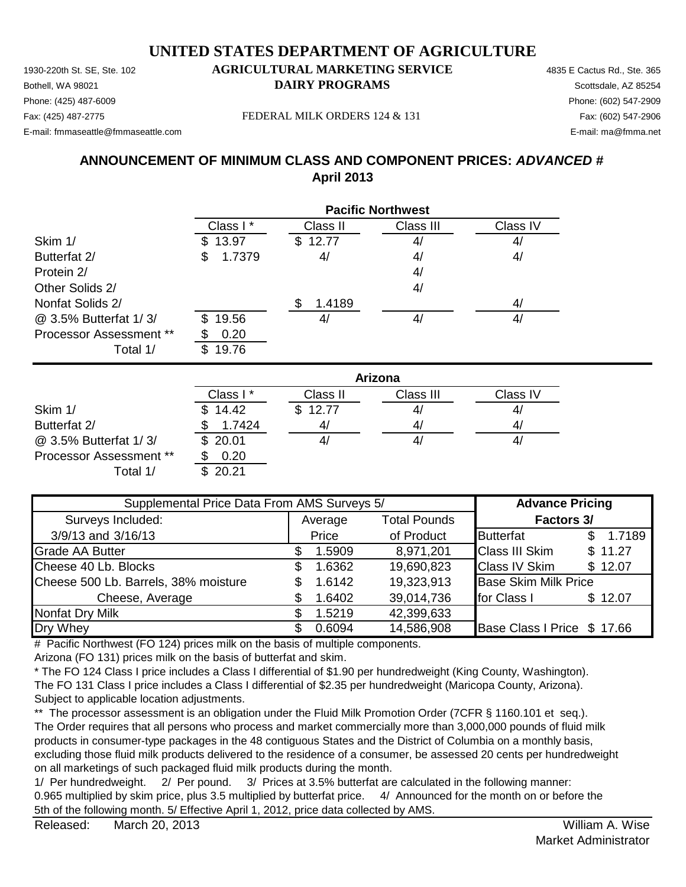1930-220th St. SE, Ste. 102 **AGRICULTURAL MARKETING SERVICE** 4835 E Cactus Rd., Ste. 365 Phone: (425) 487-6009 Phone: (602) 547-2909 E-mail: fmmaseattle@fmmaseattle.com E-mail: ma@fmma.net

# **Bothell, WA 98021 DAIRY PROGRAMS** Scottsdale, AZ 85254

Fax: (425) 487-2775 Fax: (602) 547-2906 FEDERAL MILK ORDERS 124 & 131

**ANNOUNCEMENT OF MINIMUM CLASS AND COMPONENT PRICES:** *ADVANCED #* **April 2013**

|                         | <b>Pacific Northwest</b> |              |           |          |  |
|-------------------------|--------------------------|--------------|-----------|----------|--|
|                         | Class I*                 | Class II     | Class III | Class IV |  |
| Skim 1/                 | 13.97<br>S.              | 12.77<br>\$. | 4/        | 4/       |  |
| Butterfat 2/            | 1.7379<br>\$             | 4/           | 4/        | 4/       |  |
| Protein 2/              |                          |              | 4/        |          |  |
| Other Solids 2/         |                          |              | 4/        |          |  |
| Nonfat Solids 2/        |                          | 1.4189       |           | 4/       |  |
| @ 3.5% Butterfat 1/3/   | 19.56<br>\$.             | 4/           | 4,        | 4/       |  |
| Processor Assessment ** | 0.20                     |              |           |          |  |
| Total 1/                | 19.76<br>S               |              |           |          |  |

|                                | Arizona   |          |           |          |  |  |
|--------------------------------|-----------|----------|-----------|----------|--|--|
|                                | Class I * | Class II | Class III | Class IV |  |  |
| Skim 1/                        | 14.42     | \$12.77  | 4/        | 4,       |  |  |
| Butterfat 2/                   | 1.7424    | 41       | 4/        | 4        |  |  |
| @ 3.5% Butterfat 1/3/          | \$20.01   |          | 41        | 4,       |  |  |
| <b>Processor Assessment **</b> | 0.20      |          |           |          |  |  |
| Total 1/                       | 20.21     |          |           |          |  |  |

| Supplemental Price Data From AMS Surveys 5/ |    |         |                     | <b>Advance Pricing</b>      |         |
|---------------------------------------------|----|---------|---------------------|-----------------------------|---------|
| Surveys Included:                           |    | Average | <b>Total Pounds</b> | Factors 3/                  |         |
| 3/9/13 and 3/16/13                          |    | Price   | of Product          | <b>Butterfat</b>            | 1.7189  |
| <b>Grade AA Butter</b>                      |    | 1.5909  | 8,971,201           | <b>Class III Skim</b>       | \$11.27 |
| Cheese 40 Lb. Blocks                        | S. | 1.6362  | 19,690,823          | <b>Class IV Skim</b>        | \$12.07 |
| Cheese 500 Lb. Barrels, 38% moisture        |    | 1.6142  | 19,323,913          | <b>Base Skim Milk Price</b> |         |
| Cheese, Average                             |    | 1.6402  | 39,014,736          | for Class I                 | \$12.07 |
| Nonfat Dry Milk                             |    | 1.5219  | 42,399,633          |                             |         |
| Dry Whey                                    |    | 0.6094  | 14,586,908          | Base Class I Price \$ 17.66 |         |

# Pacific Northwest (FO 124) prices milk on the basis of multiple components.

Arizona (FO 131) prices milk on the basis of butterfat and skim.

\* The FO 124 Class I price includes a Class I differential of \$1.90 per hundredweight (King County, Washington). The FO 131 Class I price includes a Class I differential of \$2.35 per hundredweight (Maricopa County, Arizona). Subject to applicable location adjustments.

\*\* The processor assessment is an obligation under the Fluid Milk Promotion Order (7CFR § 1160.101 et seq.). The Order requires that all persons who process and market commercially more than 3,000,000 pounds of fluid milk products in consumer-type packages in the 48 contiguous States and the District of Columbia on a monthly basis, excluding those fluid milk products delivered to the residence of a consumer, be assessed 20 cents per hundredweight on all marketings of such packaged fluid milk products during the month.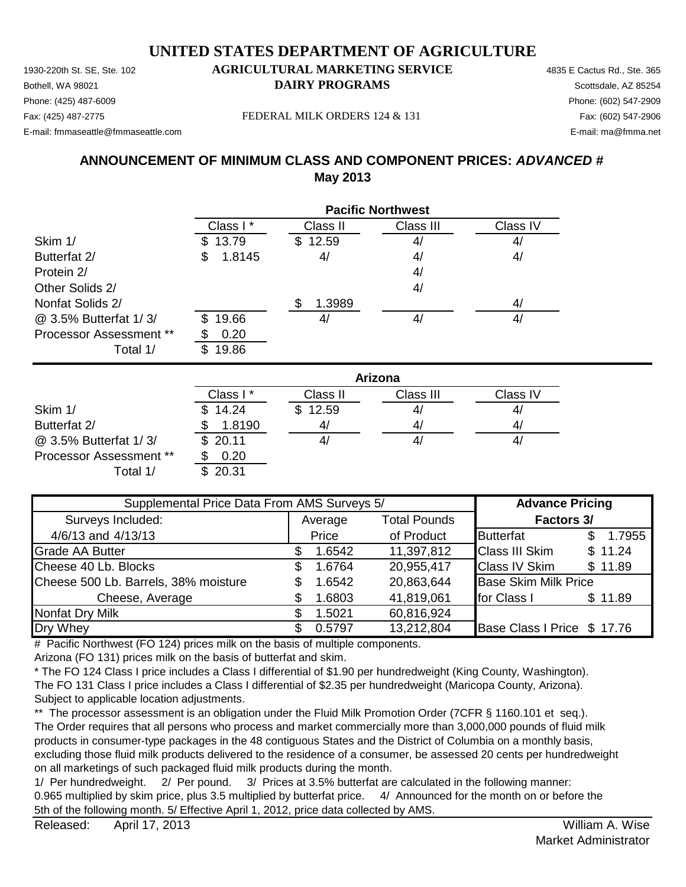1930-220th St. SE, Ste. 102 **AGRICULTURAL MARKETING SERVICE** 4835 E Cactus Rd., Ste. 365 **Bothell, WA 98021 DAIRY PROGRAMS** Scottsdale, AZ 85254 E-mail: fmmaseattle@fmmaseattle.com E-mail: ma@fmma.net

# Phone: (425) 487-6009 Phone: (602) 547-2909

Fax: (425) 487-2775 Fax: (602) 547-2906 FEDERAL MILK ORDERS 124 & 131

### **ANNOUNCEMENT OF MINIMUM CLASS AND COMPONENT PRICES:** *ADVANCED #* **May 2013**

|                                | <b>Pacific Northwest</b> |          |           |          |  |
|--------------------------------|--------------------------|----------|-----------|----------|--|
|                                | Class I*                 | Class II | Class III | Class IV |  |
| Skim 1/                        | 13.79<br>SS.             | \$12.59  | 4/        | 4/       |  |
| Butterfat 2/                   | 1.8145<br>\$             | 4/       | 4/        | 4/       |  |
| Protein 2/                     |                          |          | 4/        |          |  |
| Other Solids 2/                |                          |          | 4/        |          |  |
| Nonfat Solids 2/               |                          | 1.3989   |           | 4/       |  |
| @ 3.5% Butterfat 1/3/          | 19.66<br>S.              | 4/       | 4/        | 4/       |  |
| <b>Processor Assessment **</b> | 0.20                     |          |           |          |  |
| Total 1/                       | 19.86                    |          |           |          |  |

|                                | Arizona  |                |           |          |  |
|--------------------------------|----------|----------------|-----------|----------|--|
|                                | Class I* | Class II       | Class III | Class IV |  |
| Skim 1/                        | \$14.24  | \$12.59        | 41        | 41       |  |
| Butterfat 2/                   | 1.8190   | 4 <sub>l</sub> | 4/        | 4/       |  |
| @ 3.5% Butterfat 1/3/          | \$20.11  |                | 4/        | 41       |  |
| <b>Processor Assessment **</b> | 0.20     |                |           |          |  |
| Total 1/                       | \$20.31  |                |           |          |  |

| Supplemental Price Data From AMS Surveys 5/ |   |         |                     | <b>Advance Pricing</b>      |               |  |
|---------------------------------------------|---|---------|---------------------|-----------------------------|---------------|--|
| Surveys Included:                           |   | Average | <b>Total Pounds</b> | Factors 3/                  |               |  |
| 4/6/13 and 4/13/13                          |   | Price   | of Product          | <b>Butterfat</b>            | 1.7955<br>\$. |  |
| <b>Grade AA Butter</b>                      |   | 1.6542  | 11,397,812          | <b>Class III Skim</b>       | \$11.24       |  |
| Cheese 40 Lb. Blocks                        | S | 1.6764  | 20,955,417          | <b>Class IV Skim</b>        | \$11.89       |  |
| Cheese 500 Lb. Barrels, 38% moisture        |   | 1.6542  | 20,863,644          | <b>Base Skim Milk Price</b> |               |  |
| Cheese, Average                             |   | 1.6803  | 41,819,061          | for Class I                 | \$11.89       |  |
| Nonfat Dry Milk                             |   | 1.5021  | 60,816,924          |                             |               |  |
| Dry Whey                                    |   | 0.5797  | 13,212,804          | Base Class I Price \$ 17.76 |               |  |

# Pacific Northwest (FO 124) prices milk on the basis of multiple components.

Arizona (FO 131) prices milk on the basis of butterfat and skim.

\* The FO 124 Class I price includes a Class I differential of \$1.90 per hundredweight (King County, Washington). The FO 131 Class I price includes a Class I differential of \$2.35 per hundredweight (Maricopa County, Arizona). Subject to applicable location adjustments.

\*\* The processor assessment is an obligation under the Fluid Milk Promotion Order (7CFR § 1160.101 et seq.). The Order requires that all persons who process and market commercially more than 3,000,000 pounds of fluid milk products in consumer-type packages in the 48 contiguous States and the District of Columbia on a monthly basis, excluding those fluid milk products delivered to the residence of a consumer, be assessed 20 cents per hundredweight on all marketings of such packaged fluid milk products during the month.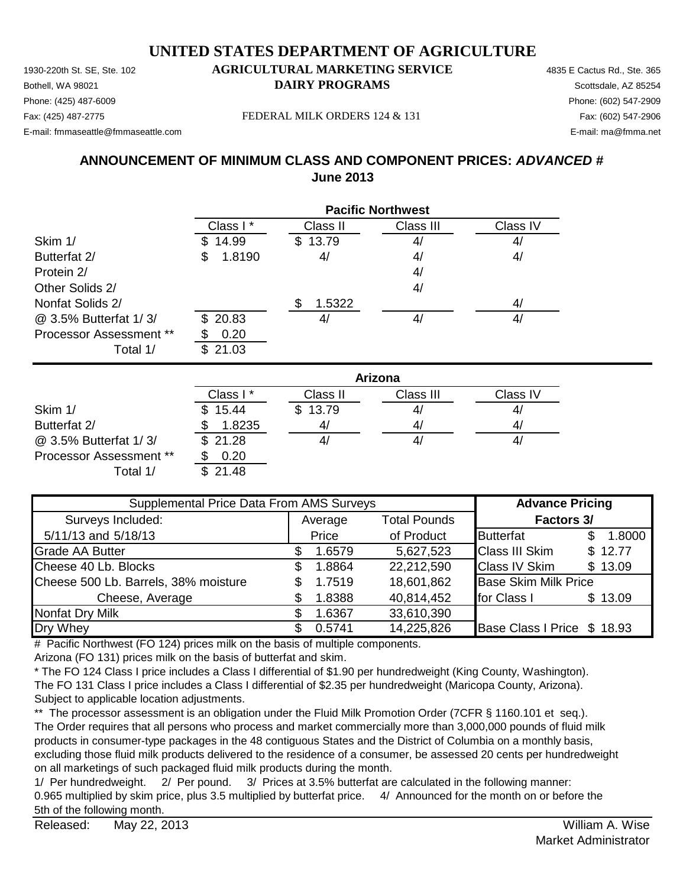1930-220th St. SE, Ste. 102 **AGRICULTURAL MARKETING SERVICE** 4835 E Cactus Rd., Ste. 365 Phone: (425) 487-6009 Phone: (602) 547-2909 E-mail: fmmaseattle@fmmaseattle.com E-mail: ma@fmma.net

# **Bothell, WA 98021 DAIRY PROGRAMS** Scottsdale, AZ 85254

Fax: (425) 487-2775 Fax: (602) 547-2906 FEDERAL MILK ORDERS 124 & 131

**ANNOUNCEMENT OF MINIMUM CLASS AND COMPONENT PRICES:** *ADVANCED #* **June 2013**

|                                | <b>Pacific Northwest</b> |          |           |          |  |
|--------------------------------|--------------------------|----------|-----------|----------|--|
|                                | Class I*                 | Class II | Class III | Class IV |  |
| Skim 1/                        | 14.99                    | \$13.79  | 4/        | 4/       |  |
| Butterfat 2/                   | 1.8190<br>\$             | 4/       | 4/        | 4/       |  |
| Protein 2/                     |                          |          | 4/        |          |  |
| Other Solids 2/                |                          |          | 4/        |          |  |
| Nonfat Solids 2/               |                          | 1.5322   |           | 4/       |  |
| @ 3.5% Butterfat 1/3/          | \$20.83                  | 4/       | 4/        | 4/       |  |
| <b>Processor Assessment **</b> | 0.20                     |          |           |          |  |
| Total 1/                       | 21.03<br>\$.             |          |           |          |  |

|                                | Arizona              |                |           |          |  |
|--------------------------------|----------------------|----------------|-----------|----------|--|
|                                | Class I <sup>*</sup> | Class II       | Class III | Class IV |  |
| Skim 1/                        | \$15.44              | \$13.79        | 41        | 41       |  |
| Butterfat 2/                   | 1.8235               | 4 <sub>l</sub> | 4/        | 4/       |  |
| @ 3.5% Butterfat 1/3/          | \$21.28              | 4,             | 4,        | 41       |  |
| <b>Processor Assessment **</b> | 0.20                 |                |           |          |  |
| Total 1/                       | \$21.48              |                |           |          |  |

| Supplemental Price Data From AMS Surveys |         |        |                     | <b>Advance Pricing</b>      |  |         |
|------------------------------------------|---------|--------|---------------------|-----------------------------|--|---------|
| Surveys Included:                        | Average |        | <b>Total Pounds</b> | Factors 3/                  |  |         |
| 5/11/13 and 5/18/13                      |         | Price  | of Product          | <b>Butterfat</b>            |  | 1.8000  |
| <b>Grade AA Butter</b>                   |         | 1.6579 | 5,627,523           | <b>Class III Skim</b>       |  | \$12.77 |
| Cheese 40 Lb. Blocks                     | S.      | 1.8864 | 22,212,590          | <b>Class IV Skim</b>        |  | \$13.09 |
| Cheese 500 Lb. Barrels, 38% moisture     | S.      | 1.7519 | 18,601,862          | <b>Base Skim Milk Price</b> |  |         |
| Cheese, Average                          |         | 1.8388 | 40,814,452          | for Class I                 |  | \$13.09 |
| Nonfat Dry Milk                          |         | 1.6367 | 33,610,390          |                             |  |         |
| Dry Whey                                 |         | 0.5741 | 14,225,826          | Base Class I Price \$ 18.93 |  |         |

# Pacific Northwest (FO 124) prices milk on the basis of multiple components.

Arizona (FO 131) prices milk on the basis of butterfat and skim.

\* The FO 124 Class I price includes a Class I differential of \$1.90 per hundredweight (King County, Washington). The FO 131 Class I price includes a Class I differential of \$2.35 per hundredweight (Maricopa County, Arizona). Subject to applicable location adjustments.

\*\* The processor assessment is an obligation under the Fluid Milk Promotion Order (7CFR § 1160.101 et seq.). The Order requires that all persons who process and market commercially more than 3,000,000 pounds of fluid milk products in consumer-type packages in the 48 contiguous States and the District of Columbia on a monthly basis, excluding those fluid milk products delivered to the residence of a consumer, be assessed 20 cents per hundredweight on all marketings of such packaged fluid milk products during the month.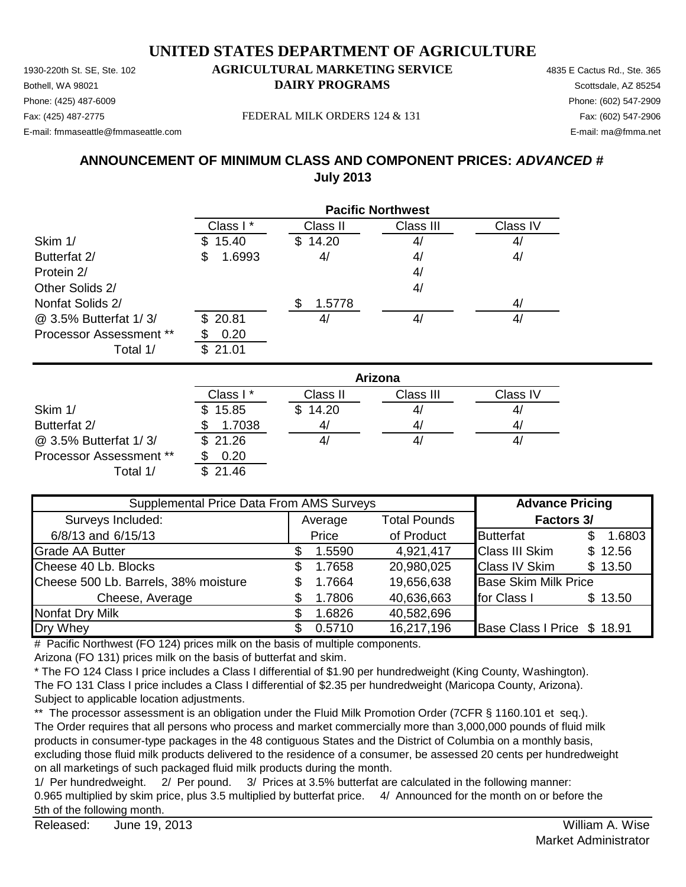1930-220th St. SE, Ste. 102 **AGRICULTURAL MARKETING SERVICE** 4835 E Cactus Rd., Ste. 365 **Bothell, WA 98021 DAIRY PROGRAMS** Scottsdale, AZ 85254 E-mail: fmmaseattle@fmmaseattle.com E-mail: ma@fmma.net

# Phone: (425) 487-6009 Phone: (602) 547-2909

Fax: (425) 487-2775 Fax: (602) 547-2906 FEDERAL MILK ORDERS 124 & 131

**ANNOUNCEMENT OF MINIMUM CLASS AND COMPONENT PRICES:** *ADVANCED #* **July 2013**

|                                | <b>Pacific Northwest</b> |              |           |          |  |
|--------------------------------|--------------------------|--------------|-----------|----------|--|
|                                | Class I*                 | Class II     | Class III | Class IV |  |
| Skim 1/                        | 15.40<br>\$.             | 14.20<br>\$. | 4/        | 4/       |  |
| Butterfat 2/                   | 1.6993<br>\$             | 4/           | 4/        | 4/       |  |
| Protein 2/                     |                          |              | 4/        |          |  |
| Other Solids 2/                |                          |              | 4/        |          |  |
| Nonfat Solids 2/               |                          | 1.5778       |           | 4/       |  |
| @ 3.5% Butterfat 1/3/          | \$20.81                  | 4,           | 4/        | 4/       |  |
| <b>Processor Assessment **</b> | 0.20<br>\$               |              |           |          |  |
| Total 1/                       | 21.01<br>\$.             |              |           |          |  |

|                                | Arizona  |          |           |          |  |
|--------------------------------|----------|----------|-----------|----------|--|
|                                | Class I* | Class II | Class III | Class IV |  |
| Skim 1/                        | \$15.85  | \$14.20  | 4/        | 41       |  |
| Butterfat 2/                   | 1.7038   | 4/       | 41        | 41       |  |
| @ 3.5% Butterfat 1/3/          | \$21.26  |          | 4/        | 4,       |  |
| <b>Processor Assessment **</b> | 0.20     |          |           |          |  |
| Total 1/                       | \$21.46  |          |           |          |  |

| Supplemental Price Data From AMS Surveys |         |        |                     | <b>Advance Pricing</b>      |  |         |
|------------------------------------------|---------|--------|---------------------|-----------------------------|--|---------|
| Surveys Included:                        | Average |        | <b>Total Pounds</b> | Factors 3/                  |  |         |
| 6/8/13 and 6/15/13                       |         | Price  | of Product          | <b>Butterfat</b>            |  | 1.6803  |
| <b>Grade AA Butter</b>                   |         | 1.5590 | 4,921,417           | <b>Class III Skim</b>       |  | \$12.56 |
| Cheese 40 Lb. Blocks                     | S.      | 1.7658 | 20,980,025          | <b>Class IV Skim</b>        |  | \$13.50 |
| Cheese 500 Lb. Barrels, 38% moisture     | S.      | 1.7664 | 19,656,638          | <b>Base Skim Milk Price</b> |  |         |
| Cheese, Average                          |         | 1.7806 | 40,636,663          | for Class I                 |  | \$13.50 |
| Nonfat Dry Milk                          |         | 1.6826 | 40,582,696          |                             |  |         |
| Dry Whey                                 |         | 0.5710 | 16,217,196          | Base Class I Price \$ 18.91 |  |         |

# Pacific Northwest (FO 124) prices milk on the basis of multiple components.

Arizona (FO 131) prices milk on the basis of butterfat and skim.

\* The FO 124 Class I price includes a Class I differential of \$1.90 per hundredweight (King County, Washington). The FO 131 Class I price includes a Class I differential of \$2.35 per hundredweight (Maricopa County, Arizona). Subject to applicable location adjustments.

\*\* The processor assessment is an obligation under the Fluid Milk Promotion Order (7CFR § 1160.101 et seq.). The Order requires that all persons who process and market commercially more than 3,000,000 pounds of fluid milk products in consumer-type packages in the 48 contiguous States and the District of Columbia on a monthly basis, excluding those fluid milk products delivered to the residence of a consumer, be assessed 20 cents per hundredweight on all marketings of such packaged fluid milk products during the month.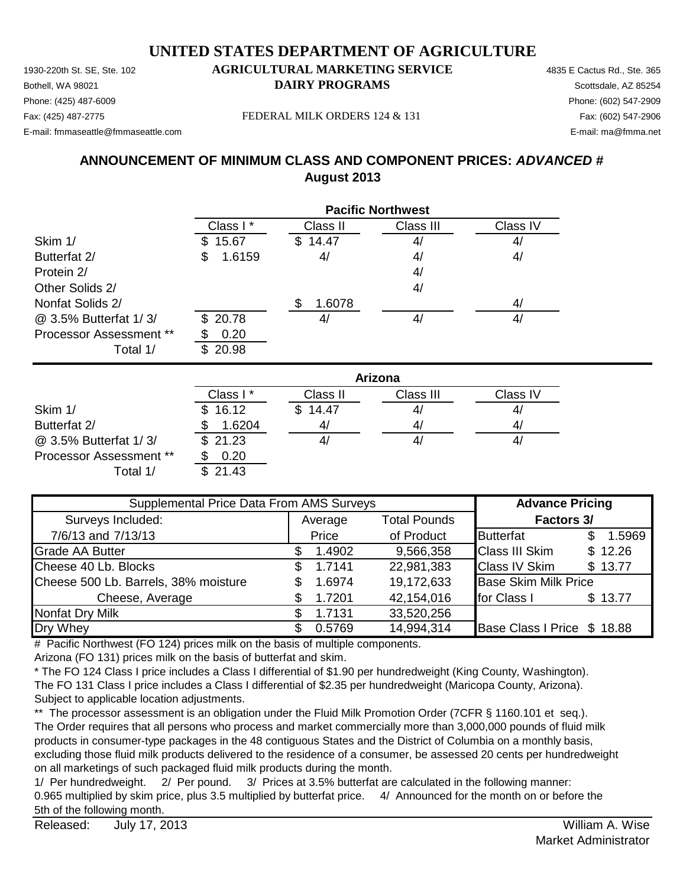1930-220th St. SE, Ste. 102 **AGRICULTURAL MARKETING SERVICE** 4835 E Cactus Rd., Ste. 365 **Bothell, WA 98021 DAIRY PROGRAMS** Scottsdale, AZ 85254 E-mail: fmmaseattle@fmmaseattle.com E-mail: ma@fmma.net

# Phone: (425) 487-6009 Phone: (602) 547-2909

Fax: (425) 487-2775 Fax: (602) 547-2906 FEDERAL MILK ORDERS 124 & 131

**ANNOUNCEMENT OF MINIMUM CLASS AND COMPONENT PRICES:** *ADVANCED #* **August 2013**

|                         | <b>Pacific Northwest</b> |               |           |          |  |
|-------------------------|--------------------------|---------------|-----------|----------|--|
|                         | Class I*                 | Class II      | Class III | Class IV |  |
| Skim 1/                 | 15.67<br>\$.             | 14.47<br>\$   | 4/        | 4/       |  |
| Butterfat 2/            | 1.6159<br>\$             | 4/            | 4/        | 4/       |  |
| Protein 2/              |                          |               | 4/        |          |  |
| Other Solids 2/         |                          |               | 4/        |          |  |
| Nonfat Solids 2/        |                          | \$.<br>1.6078 |           | 4/       |  |
| @ 3.5% Butterfat 1/3/   | \$20.78                  | 4/            | 4/        | 4/       |  |
| Processor Assessment ** | 0.20                     |               |           |          |  |
| Total 1/                | 20.98<br>\$.             |               |           |          |  |

|                         | Arizona              |          |           |          |  |
|-------------------------|----------------------|----------|-----------|----------|--|
|                         | Class I <sup>*</sup> | Class II | Class III | Class IV |  |
| Skim 1/                 | \$16.12              | \$14.47  | 41        | 47       |  |
| Butterfat 2/            | 1.6204               | 4/       | 41        | 41       |  |
| @ 3.5% Butterfat 1/3/   | \$21.23              | 4,       | 4,        | 4        |  |
| Processor Assessment ** | 0.20                 |          |           |          |  |
| Total 1/                | 21.43                |          |           |          |  |

| Supplemental Price Data From AMS Surveys |         |        |                     | <b>Advance Pricing</b>      |  |         |
|------------------------------------------|---------|--------|---------------------|-----------------------------|--|---------|
| Surveys Included:                        | Average |        | <b>Total Pounds</b> | <b>Factors 3/</b>           |  |         |
| 7/6/13 and 7/13/13                       |         | Price  | of Product          | <b>Butterfat</b>            |  | 1.5969  |
| <b>Grade AA Butter</b>                   |         | 1.4902 | 9,566,358           | <b>Class III Skim</b>       |  | \$12.26 |
| Cheese 40 Lb. Blocks                     | \$.     | 1.7141 | 22,981,383          | <b>Class IV Skim</b>        |  | \$13.77 |
| Cheese 500 Lb. Barrels, 38% moisture     | S.      | 1.6974 | 19,172,633          | <b>Base Skim Milk Price</b> |  |         |
| Cheese, Average                          |         | 1.7201 | 42,154,016          | for Class I                 |  | \$13.77 |
| Nonfat Dry Milk                          |         | 1.7131 | 33,520,256          |                             |  |         |
| Dry Whey                                 |         | 0.5769 | 14,994,314          | Base Class I Price \$ 18.88 |  |         |

# Pacific Northwest (FO 124) prices milk on the basis of multiple components.

Arizona (FO 131) prices milk on the basis of butterfat and skim.

\* The FO 124 Class I price includes a Class I differential of \$1.90 per hundredweight (King County, Washington). The FO 131 Class I price includes a Class I differential of \$2.35 per hundredweight (Maricopa County, Arizona). Subject to applicable location adjustments.

\*\* The processor assessment is an obligation under the Fluid Milk Promotion Order (7CFR § 1160.101 et seq.). The Order requires that all persons who process and market commercially more than 3,000,000 pounds of fluid milk products in consumer-type packages in the 48 contiguous States and the District of Columbia on a monthly basis, excluding those fluid milk products delivered to the residence of a consumer, be assessed 20 cents per hundredweight on all marketings of such packaged fluid milk products during the month.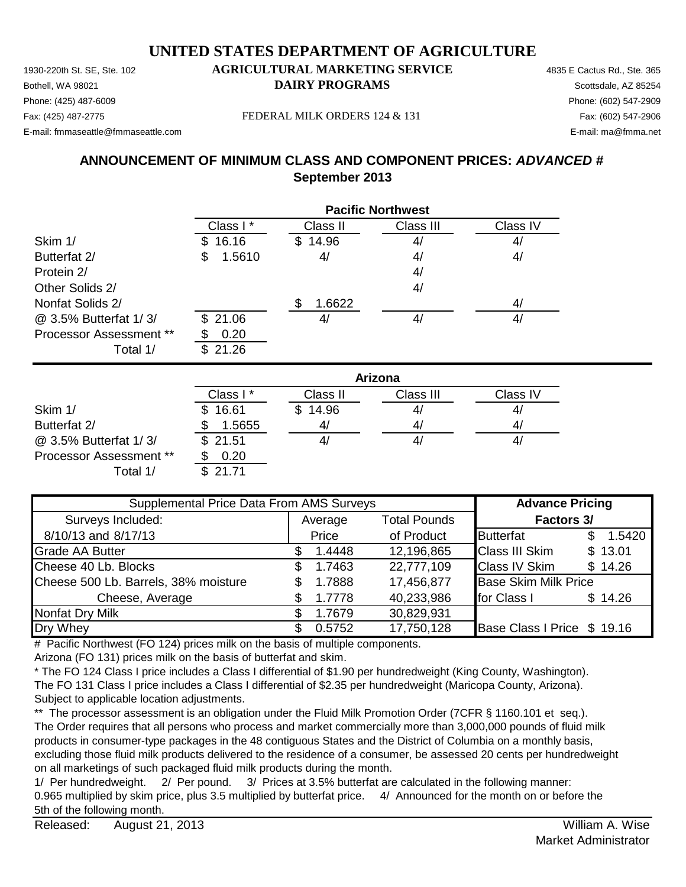1930-220th St. SE, Ste. 102 **AGRICULTURAL MARKETING SERVICE** 4835 E Cactus Rd., Ste. 365 Phone: (425) 487-6009 Phone: (602) 547-2909 E-mail: fmmaseattle@fmmaseattle.com E-mail: ma@fmma.net

# **Bothell, WA 98021 DAIRY PROGRAMS** Scottsdale, AZ 85254

Fax: (425) 487-2775 Fax: (602) 547-2906 FEDERAL MILK ORDERS 124 & 131

### **ANNOUNCEMENT OF MINIMUM CLASS AND COMPONENT PRICES:** *ADVANCED #* **September 2013**

|                         | <b>Pacific Northwest</b> |              |           |          |  |
|-------------------------|--------------------------|--------------|-----------|----------|--|
|                         | Class I*                 | Class II     | Class III | Class IV |  |
| Skim 1/                 | 16.16<br>S.              | 14.96<br>\$. | 4/        | 4/       |  |
| Butterfat 2/            | 1.5610<br>\$             | 4/           | 4/        | 4/       |  |
| Protein 2/              |                          |              | 4/        |          |  |
| Other Solids 2/         |                          |              | 4/        |          |  |
| Nonfat Solids 2/        |                          | 1.6622       |           | 4/       |  |
| @ 3.5% Butterfat 1/3/   | \$21.06                  | 4/           | 4/        | 4/       |  |
| Processor Assessment ** | 0.20                     |              |           |          |  |
| Total 1/                | 21.26<br>\$.             |              |           |          |  |

|                                | Arizona      |              |           |          |  |
|--------------------------------|--------------|--------------|-----------|----------|--|
|                                | Class I *    | Class II     | Class III | Class IV |  |
| Skim 1/                        | 16.61<br>\$. | 14.96<br>\$. | 41        | 4/       |  |
| Butterfat 2/                   | 1.5655       | 41           | 41        | 4/       |  |
| @ 3.5% Butterfat 1/3/          | \$21.51      |              | 4,        | 4,       |  |
| <b>Processor Assessment **</b> | 0.20         |              |           |          |  |
| Total 1/                       | \$21.71      |              |           |          |  |

| Supplemental Price Data From AMS Surveys |     |         |                     | <b>Advance Pricing</b>      |     |         |
|------------------------------------------|-----|---------|---------------------|-----------------------------|-----|---------|
| Surveys Included:                        |     | Average | <b>Total Pounds</b> | Factors 3/                  |     |         |
| 8/10/13 and 8/17/13                      |     | Price   | of Product          | <b>Butterfat</b>            | \$. | 1.5420  |
| <b>Grade AA Butter</b>                   |     | 1.4448  | 12,196,865          | <b>Class III Skim</b>       |     | \$13.01 |
| Cheese 40 Lb. Blocks                     | \$. | 1.7463  | 22,777,109          | <b>Class IV Skim</b>        |     | \$14.26 |
| Cheese 500 Lb. Barrels, 38% moisture     |     | 1.7888  | 17,456,877          | <b>Base Skim Milk Price</b> |     |         |
| Cheese, Average                          |     | 1.7778  | 40,233,986          | for Class I                 |     | \$14.26 |
| <b>Nonfat Dry Milk</b>                   |     | 1.7679  | 30,829,931          |                             |     |         |
| Dry Whey                                 |     | 0.5752  | 17,750,128          | Base Class I Price \$ 19.16 |     |         |

# Pacific Northwest (FO 124) prices milk on the basis of multiple components.

Arizona (FO 131) prices milk on the basis of butterfat and skim.

\* The FO 124 Class I price includes a Class I differential of \$1.90 per hundredweight (King County, Washington). The FO 131 Class I price includes a Class I differential of \$2.35 per hundredweight (Maricopa County, Arizona). Subject to applicable location adjustments.

\*\* The processor assessment is an obligation under the Fluid Milk Promotion Order (7CFR § 1160.101 et seq.). The Order requires that all persons who process and market commercially more than 3,000,000 pounds of fluid milk products in consumer-type packages in the 48 contiguous States and the District of Columbia on a monthly basis, excluding those fluid milk products delivered to the residence of a consumer, be assessed 20 cents per hundredweight on all marketings of such packaged fluid milk products during the month.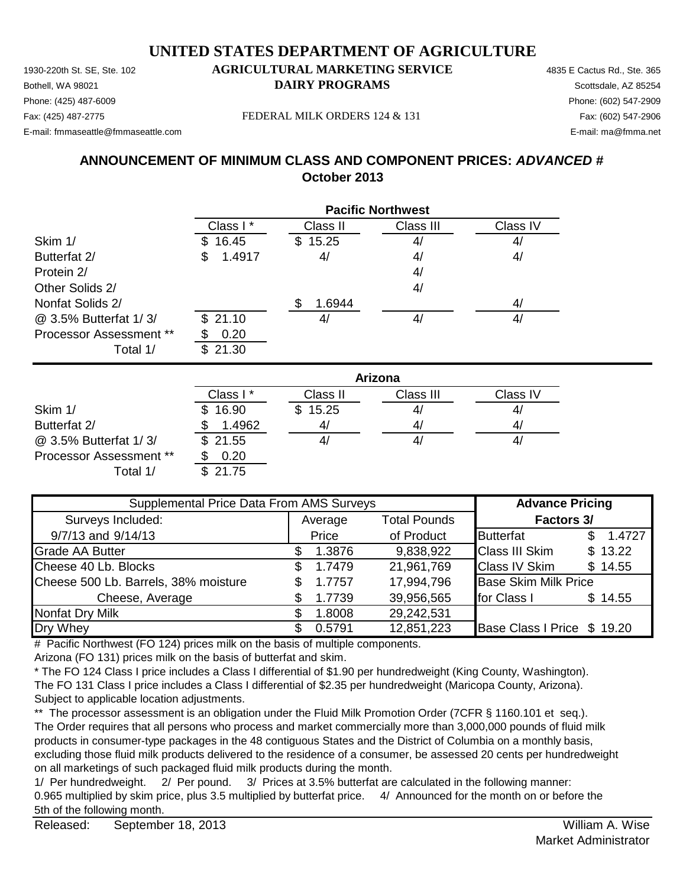1930-220th St. SE, Ste. 102 **AGRICULTURAL MARKETING SERVICE** 4835 E Cactus Rd., Ste. 365 **Bothell, WA 98021 DAIRY PROGRAMS** Scottsdale, AZ 85254 E-mail: fmmaseattle@fmmaseattle.com E-mail: ma@fmma.net

# Phone: (425) 487-6009 Phone: (602) 547-2909

Fax: (425) 487-2775 Fax: (602) 547-2906 FEDERAL MILK ORDERS 124 & 131

### **ANNOUNCEMENT OF MINIMUM CLASS AND COMPONENT PRICES:** *ADVANCED #* **October 2013**

|                                | <b>Pacific Northwest</b> |          |           |          |  |
|--------------------------------|--------------------------|----------|-----------|----------|--|
|                                | Class I*                 | Class II | Class III | Class IV |  |
| Skim 1/                        | 16.45<br>SS.             | \$15.25  | 4/        | 4/       |  |
| Butterfat 2/                   | 1.4917<br>\$             | 4/       | 4/        | 4/       |  |
| Protein 2/                     |                          |          | 4/        |          |  |
| Other Solids 2/                |                          |          | 4/        |          |  |
| Nonfat Solids 2/               |                          | 1.6944   |           | 4/       |  |
| @ 3.5% Butterfat 1/3/          | \$21.10                  | 41       | 4/        | 4/       |  |
| <b>Processor Assessment **</b> | 0.20                     |          |           |          |  |
| Total 1/                       | 21.30<br>\$.             |          |           |          |  |

|                                | Arizona              |          |           |          |  |
|--------------------------------|----------------------|----------|-----------|----------|--|
|                                | Class I <sup>*</sup> | Class II | Class III | Class IV |  |
| Skim 1/                        | \$16.90              | \$15.25  | 4/        | 4        |  |
| Butterfat 2/                   | 1.4962               | 41       | 4/        | 4/       |  |
| @ 3.5% Butterfat 1/3/          | \$21.55              |          | 41        | 4,       |  |
| <b>Processor Assessment **</b> | 0.20                 |          |           |          |  |
| Total 1/                       | \$21.75              |          |           |          |  |

| Supplemental Price Data From AMS Surveys |     |         |                     | <b>Advance Pricing</b>      |  |          |
|------------------------------------------|-----|---------|---------------------|-----------------------------|--|----------|
| Surveys Included:                        |     | Average | <b>Total Pounds</b> | Factors 3/                  |  |          |
| 9/7/13 and 9/14/13                       |     | Price   | of Product          | <b>Butterfat</b>            |  | \$1.4727 |
| <b>Grade AA Butter</b>                   |     | 1.3876  | 9,838,922           | <b>Class III Skim</b>       |  | \$13.22  |
| Cheese 40 Lb. Blocks                     | SS. | 1.7479  | 21,961,769          | <b>Class IV Skim</b>        |  | \$14.55  |
| Cheese 500 Lb. Barrels, 38% moisture     |     | 1.7757  | 17,994,796          | <b>Base Skim Milk Price</b> |  |          |
| Cheese, Average                          |     | 1.7739  | 39,956,565          | for Class I                 |  | \$14.55  |
| <b>Nonfat Dry Milk</b>                   |     | 1.8008  | 29,242,531          |                             |  |          |
| Dry Whey                                 |     | 0.5791  | 12,851,223          | Base Class I Price \$ 19.20 |  |          |

# Pacific Northwest (FO 124) prices milk on the basis of multiple components.

Arizona (FO 131) prices milk on the basis of butterfat and skim.

\* The FO 124 Class I price includes a Class I differential of \$1.90 per hundredweight (King County, Washington). The FO 131 Class I price includes a Class I differential of \$2.35 per hundredweight (Maricopa County, Arizona). Subject to applicable location adjustments.

\*\* The processor assessment is an obligation under the Fluid Milk Promotion Order (7CFR § 1160.101 et seq.). The Order requires that all persons who process and market commercially more than 3,000,000 pounds of fluid milk products in consumer-type packages in the 48 contiguous States and the District of Columbia on a monthly basis, excluding those fluid milk products delivered to the residence of a consumer, be assessed 20 cents per hundredweight on all marketings of such packaged fluid milk products during the month.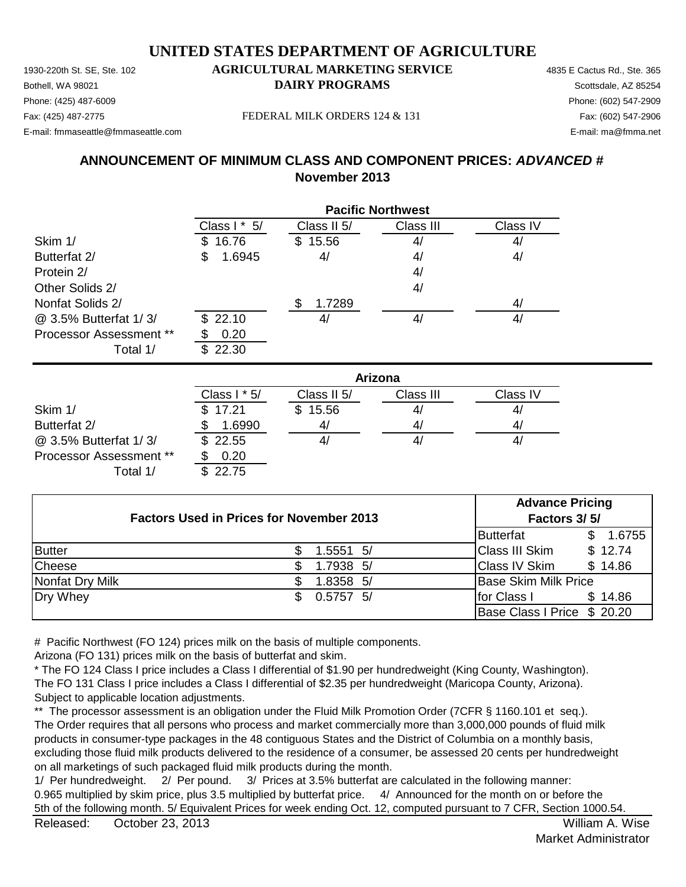Phone: (425) 487-6009 Phone: (602) 547-2909 E-mail: fmmaseattle@fmmaseattle.com E-mail: ma@fmma.net

#### 1930-220th St. SE, Ste. 102 **AGRICULTURAL MARKETING SERVICE** 4835 E Cactus Rd., Ste. 365 **Bothell, WA 98021 DAIRY PROGRAMS** Scottsdale, AZ 85254

Fax: (425) 487-2775 Fax: (602) 547-2906 FEDERAL MILK ORDERS 124 & 131

#### **ANNOUNCEMENT OF MINIMUM CLASS AND COMPONENT PRICES:** *ADVANCED #* **November 2013**

|                                | <b>Pacific Northwest</b> |             |           |          |  |
|--------------------------------|--------------------------|-------------|-----------|----------|--|
|                                | Class $1 * 5/$           | Class II 5/ | Class III | Class IV |  |
| Skim 1/                        | 16.76<br>\$.             | 15.56<br>\$ | 4/        | 4/       |  |
| Butterfat 2/                   | \$<br>1.6945             | 4/          | 4/        | 4/       |  |
| Protein 2/                     |                          |             | 4/        |          |  |
| Other Solids 2/                |                          |             | 4/        |          |  |
| Nonfat Solids 2/               |                          | 1.7289      |           | 4/       |  |
| @ 3.5% Butterfat 1/3/          | \$22.10                  | 4/          | 4/        | 4/       |  |
| <b>Processor Assessment **</b> | 0.20                     |             |           |          |  |
| Total 1/                       | 22.30                    |             |           |          |  |

|                                | Arizona        |              |           |          |  |
|--------------------------------|----------------|--------------|-----------|----------|--|
|                                | Class $1 * 5/$ | Class II 5/  | Class III | Class IV |  |
| Skim 1/                        | \$17.21        | 15.56<br>\$. | 41        | 4/       |  |
| Butterfat 2/                   | 1.6990         | 41           | 41        | 41       |  |
| @ 3.5% Butterfat 1/3/          | \$22.55        |              | 41        | 41       |  |
| <b>Processor Assessment **</b> | 0.20           |              |           |          |  |
| Total 1/                       | \$22.75        |              |           |          |  |

| <b>Factors Used in Prices for November 2013</b> |  |             | <b>Advance Pricing</b><br>Factors 3/5/ |                             |         |
|-------------------------------------------------|--|-------------|----------------------------------------|-----------------------------|---------|
|                                                 |  |             |                                        | <b>Butterfat</b>            | 1.6755  |
| <b>Butter</b>                                   |  | $1.5551$ 5/ |                                        | <b>Class III Skim</b>       | \$12.74 |
| Cheese                                          |  | 1.7938 5/   |                                        | <b>Class IV Skim</b>        | \$14.86 |
| Nonfat Dry Milk                                 |  | 1.8358 5/   |                                        | <b>Base Skim Milk Price</b> |         |
| Dry Whey                                        |  | $0.5757$ 5/ |                                        | for Class I                 | \$14.86 |
|                                                 |  |             |                                        | Base Class I Price \$ 20.20 |         |

# Pacific Northwest (FO 124) prices milk on the basis of multiple components.

Arizona (FO 131) prices milk on the basis of butterfat and skim.

\* The FO 124 Class I price includes a Class I differential of \$1.90 per hundredweight (King County, Washington). The FO 131 Class I price includes a Class I differential of \$2.35 per hundredweight (Maricopa County, Arizona). Subject to applicable location adjustments.

\*\* The processor assessment is an obligation under the Fluid Milk Promotion Order (7CFR § 1160.101 et seq.). The Order requires that all persons who process and market commercially more than 3,000,000 pounds of fluid milk products in consumer-type packages in the 48 contiguous States and the District of Columbia on a monthly basis, excluding those fluid milk products delivered to the residence of a consumer, be assessed 20 cents per hundredweight on all marketings of such packaged fluid milk products during the month.

1/ Per hundredweight. 2/ Per pound. 3/ Prices at 3.5% butterfat are calculated in the following manner: 0.965 multiplied by skim price, plus 3.5 multiplied by butterfat price. 4/ Announced for the month on or before the 5th of the following month. 5/ Equivalent Prices for week ending Oct. 12, computed pursuant to 7 CFR, Section 1000.54.